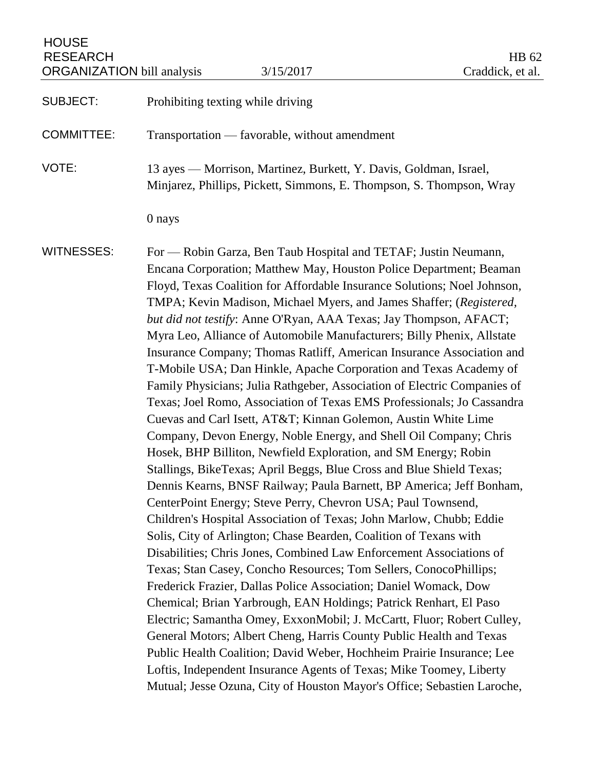# HOUSE RESEARCH HB 62<br>ORGANIZATION bill analysis 3/15/2017 (Craddick, et al. ORGANIZATION bill analysis 3/15/2017

| Prohibiting texting while driving                                                                                                                                                                                                                                                                                                                                                                                                                                                                                                                                                                                                                                                                                                                                                                                                                                                                                                                                                                                                                                                                                                                                                                                                                                                                                                                                                                                                                                                                                                                                                                                                                                                                                                                                                                                                                                                                                                                                                 |
|-----------------------------------------------------------------------------------------------------------------------------------------------------------------------------------------------------------------------------------------------------------------------------------------------------------------------------------------------------------------------------------------------------------------------------------------------------------------------------------------------------------------------------------------------------------------------------------------------------------------------------------------------------------------------------------------------------------------------------------------------------------------------------------------------------------------------------------------------------------------------------------------------------------------------------------------------------------------------------------------------------------------------------------------------------------------------------------------------------------------------------------------------------------------------------------------------------------------------------------------------------------------------------------------------------------------------------------------------------------------------------------------------------------------------------------------------------------------------------------------------------------------------------------------------------------------------------------------------------------------------------------------------------------------------------------------------------------------------------------------------------------------------------------------------------------------------------------------------------------------------------------------------------------------------------------------------------------------------------------|
| Transportation — favorable, without amendment                                                                                                                                                                                                                                                                                                                                                                                                                                                                                                                                                                                                                                                                                                                                                                                                                                                                                                                                                                                                                                                                                                                                                                                                                                                                                                                                                                                                                                                                                                                                                                                                                                                                                                                                                                                                                                                                                                                                     |
| 13 ayes — Morrison, Martinez, Burkett, Y. Davis, Goldman, Israel,<br>Minjarez, Phillips, Pickett, Simmons, E. Thompson, S. Thompson, Wray                                                                                                                                                                                                                                                                                                                                                                                                                                                                                                                                                                                                                                                                                                                                                                                                                                                                                                                                                                                                                                                                                                                                                                                                                                                                                                                                                                                                                                                                                                                                                                                                                                                                                                                                                                                                                                         |
| 0 nays                                                                                                                                                                                                                                                                                                                                                                                                                                                                                                                                                                                                                                                                                                                                                                                                                                                                                                                                                                                                                                                                                                                                                                                                                                                                                                                                                                                                                                                                                                                                                                                                                                                                                                                                                                                                                                                                                                                                                                            |
| For — Robin Garza, Ben Taub Hospital and TETAF; Justin Neumann,<br>Encana Corporation; Matthew May, Houston Police Department; Beaman<br>Floyd, Texas Coalition for Affordable Insurance Solutions; Noel Johnson,<br>TMPA; Kevin Madison, Michael Myers, and James Shaffer; (Registered,<br>but did not testify: Anne O'Ryan, AAA Texas; Jay Thompson, AFACT;<br>Myra Leo, Alliance of Automobile Manufacturers; Billy Phenix, Allstate<br>Insurance Company; Thomas Ratliff, American Insurance Association and<br>T-Mobile USA; Dan Hinkle, Apache Corporation and Texas Academy of<br>Family Physicians; Julia Rathgeber, Association of Electric Companies of<br>Texas; Joel Romo, Association of Texas EMS Professionals; Jo Cassandra<br>Cuevas and Carl Isett, AT&T Kinnan Golemon, Austin White Lime<br>Company, Devon Energy, Noble Energy, and Shell Oil Company; Chris<br>Hosek, BHP Billiton, Newfield Exploration, and SM Energy; Robin<br>Stallings, BikeTexas; April Beggs, Blue Cross and Blue Shield Texas;<br>Dennis Kearns, BNSF Railway; Paula Barnett, BP America; Jeff Bonham,<br>CenterPoint Energy; Steve Perry, Chevron USA; Paul Townsend,<br>Children's Hospital Association of Texas; John Marlow, Chubb; Eddie<br>Solis, City of Arlington; Chase Bearden, Coalition of Texans with<br>Disabilities; Chris Jones, Combined Law Enforcement Associations of<br>Texas; Stan Casey, Concho Resources; Tom Sellers, ConocoPhillips;<br>Frederick Frazier, Dallas Police Association; Daniel Womack, Dow<br>Chemical; Brian Yarbrough, EAN Holdings; Patrick Renhart, El Paso<br>Electric; Samantha Omey, ExxonMobil; J. McCartt, Fluor; Robert Culley,<br>General Motors; Albert Cheng, Harris County Public Health and Texas<br>Public Health Coalition; David Weber, Hochheim Prairie Insurance; Lee<br>Loftis, Independent Insurance Agents of Texas; Mike Toomey, Liberty<br>Mutual; Jesse Ozuna, City of Houston Mayor's Office; Sebastien Laroche, |
|                                                                                                                                                                                                                                                                                                                                                                                                                                                                                                                                                                                                                                                                                                                                                                                                                                                                                                                                                                                                                                                                                                                                                                                                                                                                                                                                                                                                                                                                                                                                                                                                                                                                                                                                                                                                                                                                                                                                                                                   |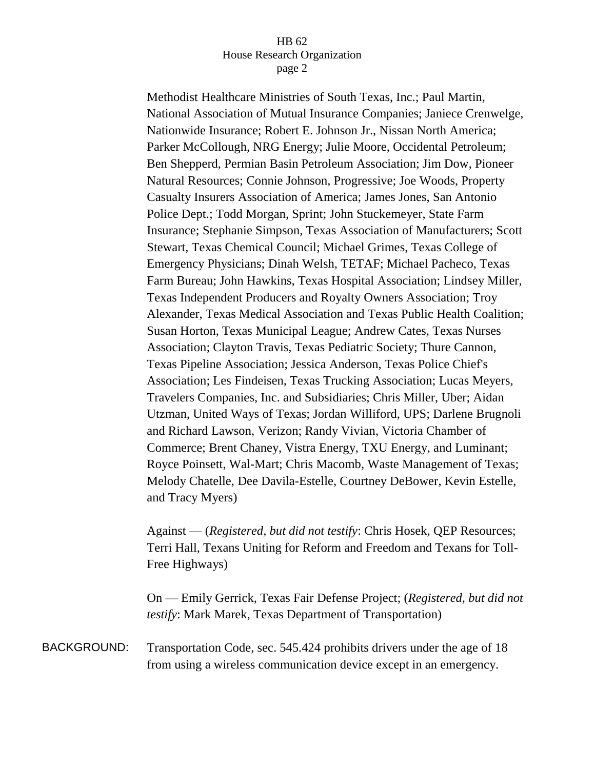Methodist Healthcare Ministries of South Texas, Inc.; Paul Martin, National Association of Mutual Insurance Companies; Janiece Crenwelge, Nationwide Insurance; Robert E. Johnson Jr., Nissan North America; Parker McCollough, NRG Energy; Julie Moore, Occidental Petroleum; Ben Shepperd, Permian Basin Petroleum Association; Jim Dow, Pioneer Natural Resources; Connie Johnson, Progressive; Joe Woods, Property Casualty Insurers Association of America; James Jones, San Antonio Police Dept.; Todd Morgan, Sprint; John Stuckemeyer, State Farm Insurance; Stephanie Simpson, Texas Association of Manufacturers; Scott Stewart, Texas Chemical Council; Michael Grimes, Texas College of Emergency Physicians; Dinah Welsh, TETAF; Michael Pacheco, Texas Farm Bureau; John Hawkins, Texas Hospital Association; Lindsey Miller, Texas Independent Producers and Royalty Owners Association; Troy Alexander, Texas Medical Association and Texas Public Health Coalition; Susan Horton, Texas Municipal League; Andrew Cates, Texas Nurses Association; Clayton Travis, Texas Pediatric Society; Thure Cannon, Texas Pipeline Association; Jessica Anderson, Texas Police Chief's Association; Les Findeisen, Texas Trucking Association; Lucas Meyers, Travelers Companies, Inc. and Subsidiaries; Chris Miller, Uber; Aidan Utzman, United Ways of Texas; Jordan Williford, UPS; Darlene Brugnoli and Richard Lawson, Verizon; Randy Vivian, Victoria Chamber of Commerce; Brent Chaney, Vistra Energy, TXU Energy, and Luminant; Royce Poinsett, Wal-Mart; Chris Macomb, Waste Management of Texas; Melody Chatelle, Dee Davila-Estelle, Courtney DeBower, Kevin Estelle, and Tracy Myers)

Against — (*Registered, but did not testify*: Chris Hosek, QEP Resources; Terri Hall, Texans Uniting for Reform and Freedom and Texans for Toll-Free Highways)

On — Emily Gerrick, Texas Fair Defense Project; (*Registered, but did not testify*: Mark Marek, Texas Department of Transportation)

BACKGROUND: Transportation Code, sec. 545.424 prohibits drivers under the age of 18 from using a wireless communication device except in an emergency.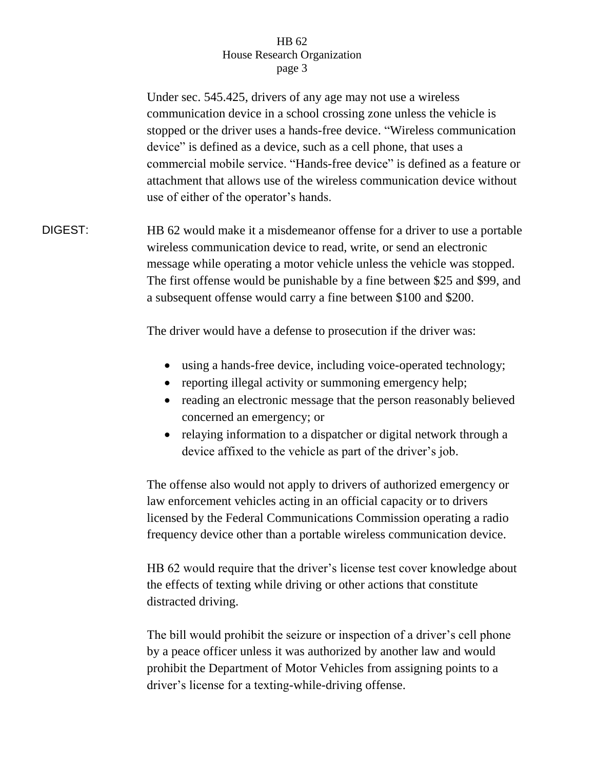Under sec. 545.425, drivers of any age may not use a wireless communication device in a school crossing zone unless the vehicle is stopped or the driver uses a hands-free device. "Wireless communication device" is defined as a device, such as a cell phone, that uses a commercial mobile service. "Hands-free device" is defined as a feature or attachment that allows use of the wireless communication device without use of either of the operator's hands.

DIGEST: HB 62 would make it a misdemeanor offense for a driver to use a portable wireless communication device to read, write, or send an electronic message while operating a motor vehicle unless the vehicle was stopped. The first offense would be punishable by a fine between \$25 and \$99, and a subsequent offense would carry a fine between \$100 and \$200.

The driver would have a defense to prosecution if the driver was:

- using a hands-free device, including voice-operated technology;
- reporting illegal activity or summoning emergency help;
- reading an electronic message that the person reasonably believed concerned an emergency; or
- relaying information to a dispatcher or digital network through a device affixed to the vehicle as part of the driver's job.

The offense also would not apply to drivers of authorized emergency or law enforcement vehicles acting in an official capacity or to drivers licensed by the Federal Communications Commission operating a radio frequency device other than a portable wireless communication device.

HB 62 would require that the driver's license test cover knowledge about the effects of texting while driving or other actions that constitute distracted driving.

The bill would prohibit the seizure or inspection of a driver's cell phone by a peace officer unless it was authorized by another law and would prohibit the Department of Motor Vehicles from assigning points to a driver's license for a texting-while-driving offense.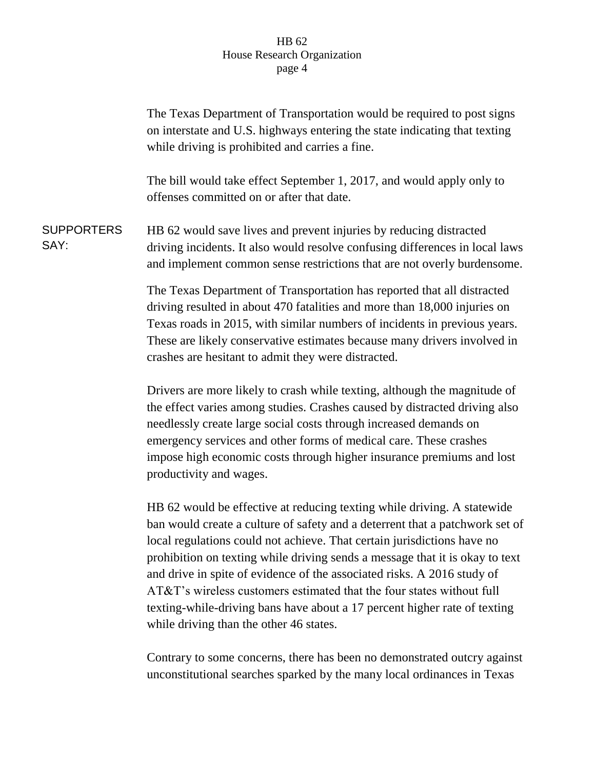|                           | The Texas Department of Transportation would be required to post signs<br>on interstate and U.S. highways entering the state indicating that texting<br>while driving is prohibited and carries a fine.                                                                                                                                                                                                                                                                                                                                             |
|---------------------------|-----------------------------------------------------------------------------------------------------------------------------------------------------------------------------------------------------------------------------------------------------------------------------------------------------------------------------------------------------------------------------------------------------------------------------------------------------------------------------------------------------------------------------------------------------|
|                           | The bill would take effect September 1, 2017, and would apply only to<br>offenses committed on or after that date.                                                                                                                                                                                                                                                                                                                                                                                                                                  |
| <b>SUPPORTERS</b><br>SAY: | HB 62 would save lives and prevent injuries by reducing distracted<br>driving incidents. It also would resolve confusing differences in local laws<br>and implement common sense restrictions that are not overly burdensome.                                                                                                                                                                                                                                                                                                                       |
|                           | The Texas Department of Transportation has reported that all distracted<br>driving resulted in about 470 fatalities and more than 18,000 injuries on<br>Texas roads in 2015, with similar numbers of incidents in previous years.<br>These are likely conservative estimates because many drivers involved in<br>crashes are hesitant to admit they were distracted.                                                                                                                                                                                |
|                           | Drivers are more likely to crash while texting, although the magnitude of<br>the effect varies among studies. Crashes caused by distracted driving also<br>needlessly create large social costs through increased demands on<br>emergency services and other forms of medical care. These crashes<br>impose high economic costs through higher insurance premiums and lost<br>productivity and wages.                                                                                                                                               |
|                           | HB 62 would be effective at reducing texting while driving. A statewide<br>ban would create a culture of safety and a deterrent that a patchwork set of<br>local regulations could not achieve. That certain jurisdictions have no<br>prohibition on texting while driving sends a message that it is okay to text<br>and drive in spite of evidence of the associated risks. A 2016 study of<br>AT&T's wireless customers estimated that the four states without full<br>texting-while-driving bans have about a 17 percent higher rate of texting |

while driving than the other 46 states.

Contrary to some concerns, there has been no demonstrated outcry against unconstitutional searches sparked by the many local ordinances in Texas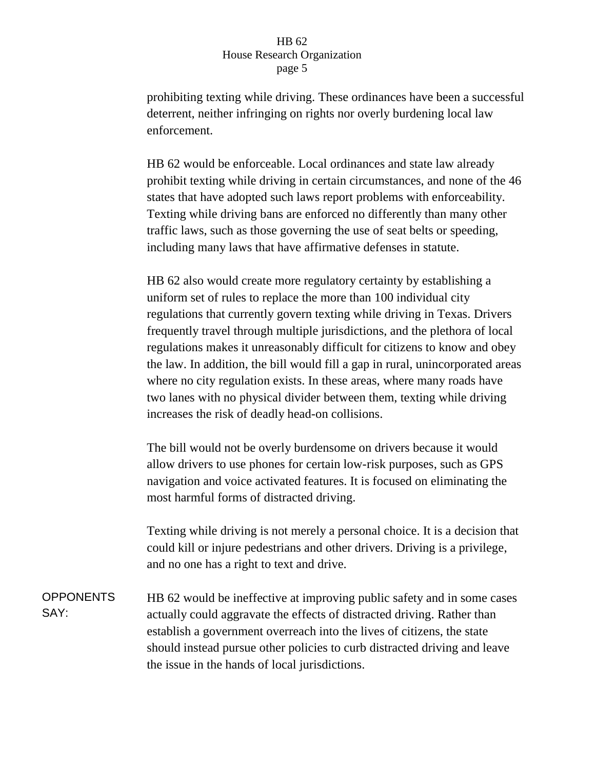prohibiting texting while driving. These ordinances have been a successful deterrent, neither infringing on rights nor overly burdening local law enforcement.

HB 62 would be enforceable. Local ordinances and state law already prohibit texting while driving in certain circumstances, and none of the 46 states that have adopted such laws report problems with enforceability. Texting while driving bans are enforced no differently than many other traffic laws, such as those governing the use of seat belts or speeding, including many laws that have affirmative defenses in statute.

HB 62 also would create more regulatory certainty by establishing a uniform set of rules to replace the more than 100 individual city regulations that currently govern texting while driving in Texas. Drivers frequently travel through multiple jurisdictions, and the plethora of local regulations makes it unreasonably difficult for citizens to know and obey the law. In addition, the bill would fill a gap in rural, unincorporated areas where no city regulation exists. In these areas, where many roads have two lanes with no physical divider between them, texting while driving increases the risk of deadly head-on collisions.

The bill would not be overly burdensome on drivers because it would allow drivers to use phones for certain low-risk purposes, such as GPS navigation and voice activated features. It is focused on eliminating the most harmful forms of distracted driving.

Texting while driving is not merely a personal choice. It is a decision that could kill or injure pedestrians and other drivers. Driving is a privilege, and no one has a right to text and drive.

OPPONENTS SAY: HB 62 would be ineffective at improving public safety and in some cases actually could aggravate the effects of distracted driving. Rather than establish a government overreach into the lives of citizens, the state should instead pursue other policies to curb distracted driving and leave the issue in the hands of local jurisdictions.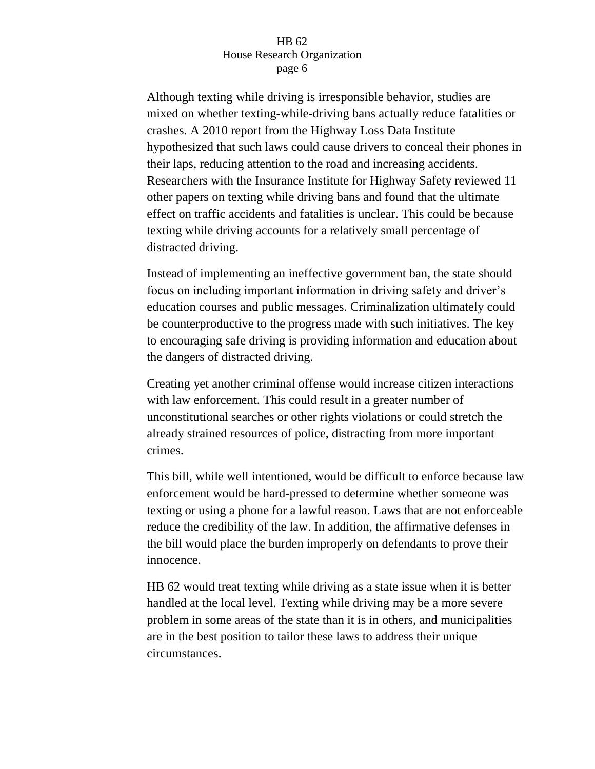Although texting while driving is irresponsible behavior, studies are mixed on whether texting-while-driving bans actually reduce fatalities or crashes. A 2010 report from the Highway Loss Data Institute hypothesized that such laws could cause drivers to conceal their phones in their laps, reducing attention to the road and increasing accidents. Researchers with the Insurance Institute for Highway Safety reviewed 11 other papers on texting while driving bans and found that the ultimate effect on traffic accidents and fatalities is unclear. This could be because texting while driving accounts for a relatively small percentage of distracted driving.

Instead of implementing an ineffective government ban, the state should focus on including important information in driving safety and driver's education courses and public messages. Criminalization ultimately could be counterproductive to the progress made with such initiatives. The key to encouraging safe driving is providing information and education about the dangers of distracted driving.

Creating yet another criminal offense would increase citizen interactions with law enforcement. This could result in a greater number of unconstitutional searches or other rights violations or could stretch the already strained resources of police, distracting from more important crimes.

This bill, while well intentioned, would be difficult to enforce because law enforcement would be hard-pressed to determine whether someone was texting or using a phone for a lawful reason. Laws that are not enforceable reduce the credibility of the law. In addition, the affirmative defenses in the bill would place the burden improperly on defendants to prove their innocence.

HB 62 would treat texting while driving as a state issue when it is better handled at the local level. Texting while driving may be a more severe problem in some areas of the state than it is in others, and municipalities are in the best position to tailor these laws to address their unique circumstances.